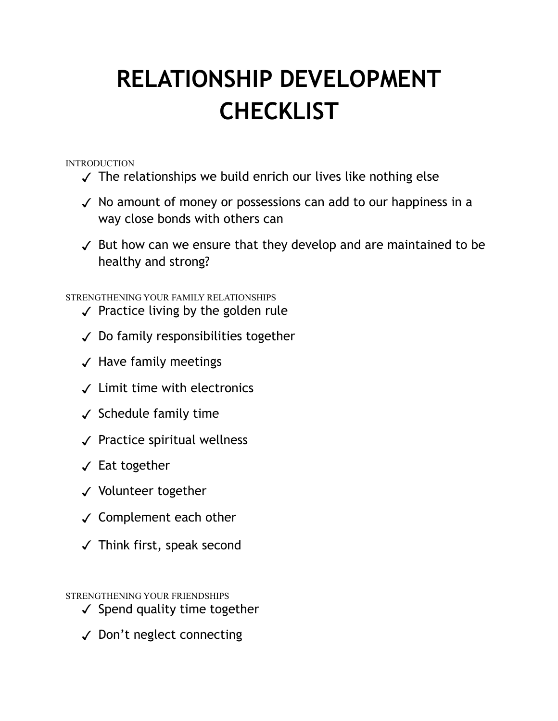## **RELATIONSHIP DEVELOPMENT CHECKLIST**

INTRODUCTION

- ✓ The relationships we build enrich our lives like nothing else
- ✓ No amount of money or possessions can add to our happiness in a way close bonds with others can
- ✓ But how can we ensure that they develop and are maintained to be healthy and strong?

STRENGTHENING YOUR FAMILY RELATIONSHIPS

- ✓ Practice living by the golden rule
- ✓ Do family responsibilities together
- ✓ Have family meetings
- ✓ Limit time with electronics
- ✓ Schedule family time
- ✓ Practice spiritual wellness
- ✓ Eat together
- ✓ Volunteer together
- ✓ Complement each other
- ✓ Think first, speak second

STRENGTHENING YOUR FRIENDSHIPS

- ✓ Spend quality time together
- ✓ Don't neglect connecting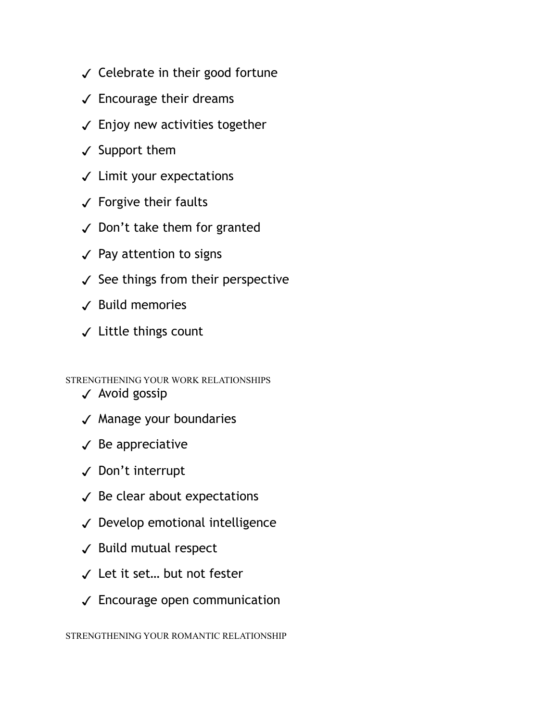- ✓ Celebrate in their good fortune
- $\checkmark$  Encourage their dreams
- $\checkmark$  Enjoy new activities together
- ✓ Support them
- ✓ Limit your expectations
- ✓ Forgive their faults
- ✓ Don't take them for granted
- ✓ Pay attention to signs
- $\checkmark$  See things from their perspective
- ✓ Build memories
- ✓ Little things count

STRENGTHENING YOUR WORK RELATIONSHIPS

- ✓ Avoid gossip
- ✓ Manage your boundaries
- $\checkmark$  Be appreciative
- ✓ Don't interrupt
- $\checkmark$  Be clear about expectations
- ✓ Develop emotional intelligence
- ✓ Build mutual respect
- ✓ Let it set… but not fester
- ✓ Encourage open communication

STRENGTHENING YOUR ROMANTIC RELATIONSHIP